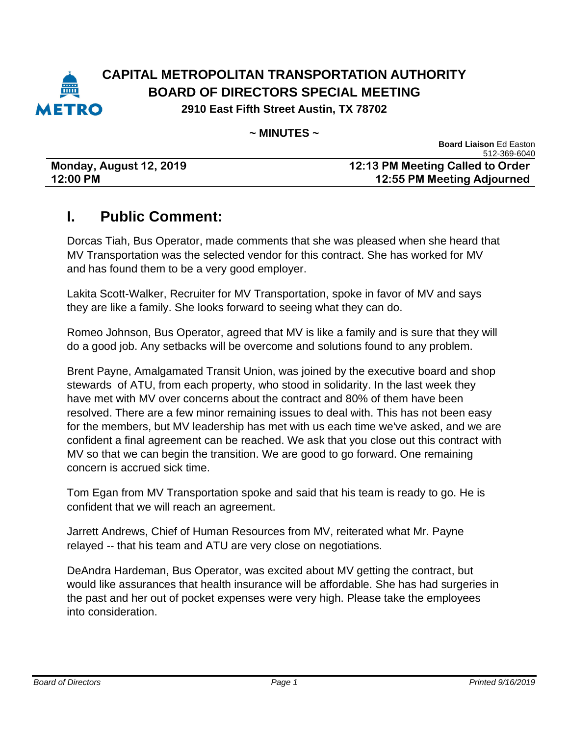

#### **CAPITAL METROPOLITAN TRANSPORTATION AUTHORITY BOARD OF DIRECTORS SPECIAL MEETING 2910 East Fifth Street Austin, TX 78702**

**~ MINUTES ~**

| Monday, August 12, 2019 |  |
|-------------------------|--|
| 12:00 PM                |  |

**Board Liaison** Ed Easton 512-369-6040 **12:13 PM Meeting Called to Order 12:00 PM 12:55 PM Meeting Adjourned** 

### **I. Public Comment:**

Dorcas Tiah, Bus Operator, made comments that she was pleased when she heard that MV Transportation was the selected vendor for this contract. She has worked for MV and has found them to be a very good employer.

Lakita Scott-Walker, Recruiter for MV Transportation, spoke in favor of MV and says they are like a family. She looks forward to seeing what they can do.

Romeo Johnson, Bus Operator, agreed that MV is like a family and is sure that they will do a good job. Any setbacks will be overcome and solutions found to any problem.

Brent Payne, Amalgamated Transit Union, was joined by the executive board and shop stewards of ATU, from each property, who stood in solidarity. In the last week they have met with MV over concerns about the contract and 80% of them have been resolved. There are a few minor remaining issues to deal with. This has not been easy for the members, but MV leadership has met with us each time we've asked, and we are confident a final agreement can be reached. We ask that you close out this contract with MV so that we can begin the transition. We are good to go forward. One remaining concern is accrued sick time.

Tom Egan from MV Transportation spoke and said that his team is ready to go. He is confident that we will reach an agreement.

Jarrett Andrews, Chief of Human Resources from MV, reiterated what Mr. Payne relayed -- that his team and ATU are very close on negotiations.

DeAndra Hardeman, Bus Operator, was excited about MV getting the contract, but would like assurances that health insurance will be affordable. She has had surgeries in the past and her out of pocket expenses were very high. Please take the employees into consideration.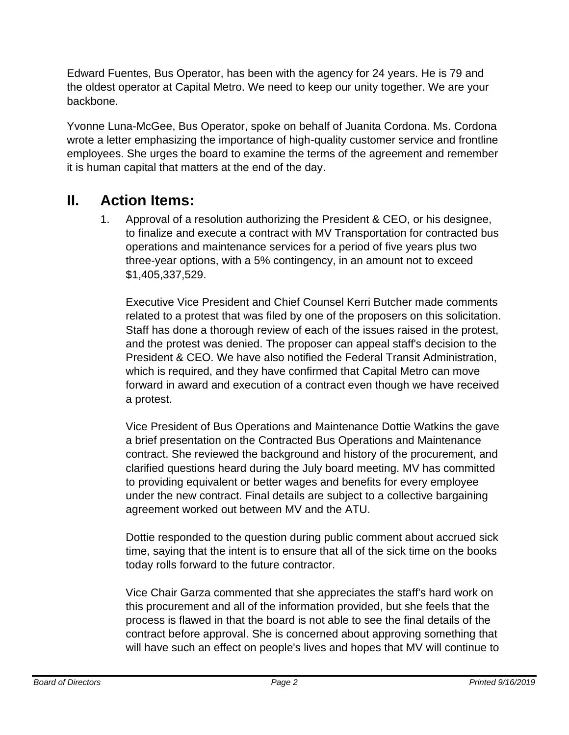Edward Fuentes, Bus Operator, has been with the agency for 24 years. He is 79 and the oldest operator at Capital Metro. We need to keep our unity together. We are your backbone.

Yvonne Luna-McGee, Bus Operator, spoke on behalf of Juanita Cordona. Ms. Cordona wrote a letter emphasizing the importance of high-quality customer service and frontline employees. She urges the board to examine the terms of the agreement and remember it is human capital that matters at the end of the day.

### **II. Action Items:**

1. Approval of a resolution authorizing the President & CEO, or his designee, to finalize and execute a contract with MV Transportation for contracted bus operations and maintenance services for a period of five years plus two three-year options, with a 5% contingency, in an amount not to exceed \$1,405,337,529.

Executive Vice President and Chief Counsel Kerri Butcher made comments related to a protest that was filed by one of the proposers on this solicitation. Staff has done a thorough review of each of the issues raised in the protest, and the protest was denied. The proposer can appeal staff's decision to the President & CEO. We have also notified the Federal Transit Administration, which is required, and they have confirmed that Capital Metro can move forward in award and execution of a contract even though we have received a protest.

Vice President of Bus Operations and Maintenance Dottie Watkins the gave a brief presentation on the Contracted Bus Operations and Maintenance contract. She reviewed the background and history of the procurement, and clarified questions heard during the July board meeting. MV has committed to providing equivalent or better wages and benefits for every employee under the new contract. Final details are subject to a collective bargaining agreement worked out between MV and the ATU.

Dottie responded to the question during public comment about accrued sick time, saying that the intent is to ensure that all of the sick time on the books today rolls forward to the future contractor.

Vice Chair Garza commented that she appreciates the staff's hard work on this procurement and all of the information provided, but she feels that the process is flawed in that the board is not able to see the final details of the contract before approval. She is concerned about approving something that will have such an effect on people's lives and hopes that MV will continue to